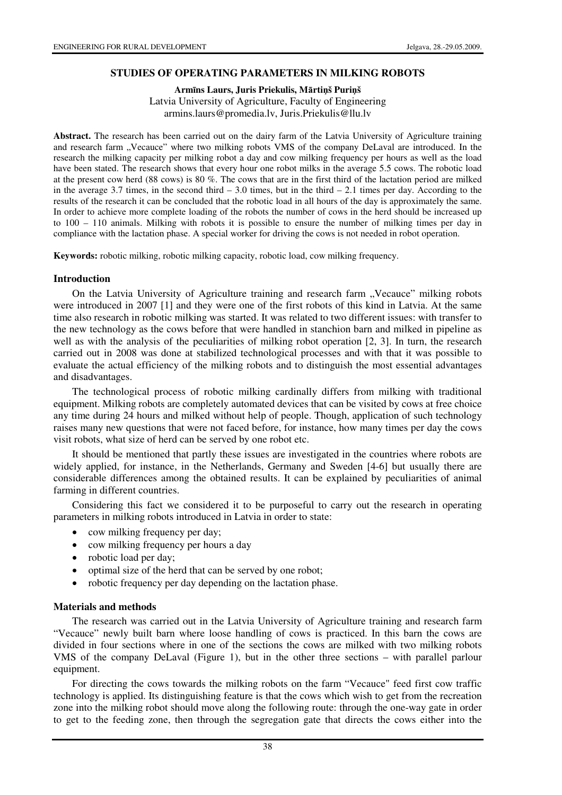#### **STUDIES OF OPERATING PARAMETERS IN MILKING ROBOTS**

**Arm**ī**ns Laurs, Juris Priekulis, M**ā**rti**ņ**š Puri**ņ**š**  Latvia University of Agriculture, Faculty of Engineering armins.laurs@promedia.lv, Juris.Priekulis@llu.lv

**Abstract.** The research has been carried out on the dairy farm of the Latvia University of Agriculture training and research farm "Vecauce" where two milking robots VMS of the company DeLaval are introduced. In the research the milking capacity per milking robot a day and cow milking frequency per hours as well as the load have been stated. The research shows that every hour one robot milks in the average 5.5 cows. The robotic load at the present cow herd (88 cows) is 80 %. The cows that are in the first third of the lactation period are milked in the average 3.7 times, in the second third  $-3.0$  times, but in the third  $-2.1$  times per day. According to the results of the research it can be concluded that the robotic load in all hours of the day is approximately the same. In order to achieve more complete loading of the robots the number of cows in the herd should be increased up to 100 – 110 animals. Milking with robots it is possible to ensure the number of milking times per day in compliance with the lactation phase. A special worker for driving the cows is not needed in robot operation.

**Keywords:** robotic milking, robotic milking capacity, robotic load, cow milking frequency.

#### **Introduction**

On the Latvia University of Agriculture training and research farm "Vecauce" milking robots were introduced in 2007 [1] and they were one of the first robots of this kind in Latvia. At the same time also research in robotic milking was started. It was related to two different issues: with transfer to the new technology as the cows before that were handled in stanchion barn and milked in pipeline as well as with the analysis of the peculiarities of milking robot operation [2, 3]. In turn, the research carried out in 2008 was done at stabilized technological processes and with that it was possible to evaluate the actual efficiency of the milking robots and to distinguish the most essential advantages and disadvantages.

The technological process of robotic milking cardinally differs from milking with traditional equipment. Milking robots are completely automated devices that can be visited by cows at free choice any time during 24 hours and milked without help of people. Though, application of such technology raises many new questions that were not faced before, for instance, how many times per day the cows visit robots, what size of herd can be served by one robot etc.

It should be mentioned that partly these issues are investigated in the countries where robots are widely applied, for instance, in the Netherlands, Germany and Sweden [4-6] but usually there are considerable differences among the obtained results. It can be explained by peculiarities of animal farming in different countries.

Considering this fact we considered it to be purposeful to carry out the research in operating parameters in milking robots introduced in Latvia in order to state:

- cow milking frequency per day;
- cow milking frequency per hours a day
- robotic load per day;
- optimal size of the herd that can be served by one robot;
- robotic frequency per day depending on the lactation phase.

### **Materials and methods**

The research was carried out in the Latvia University of Agriculture training and research farm "Vecauce" newly built barn where loose handling of cows is practiced. In this barn the cows are divided in four sections where in one of the sections the cows are milked with two milking robots VMS of the company DeLaval (Figure 1), but in the other three sections – with parallel parlour equipment.

For directing the cows towards the milking robots on the farm "Vecauce" feed first cow traffic technology is applied. Its distinguishing feature is that the cows which wish to get from the recreation zone into the milking robot should move along the following route: through the one-way gate in order to get to the feeding zone, then through the segregation gate that directs the cows either into the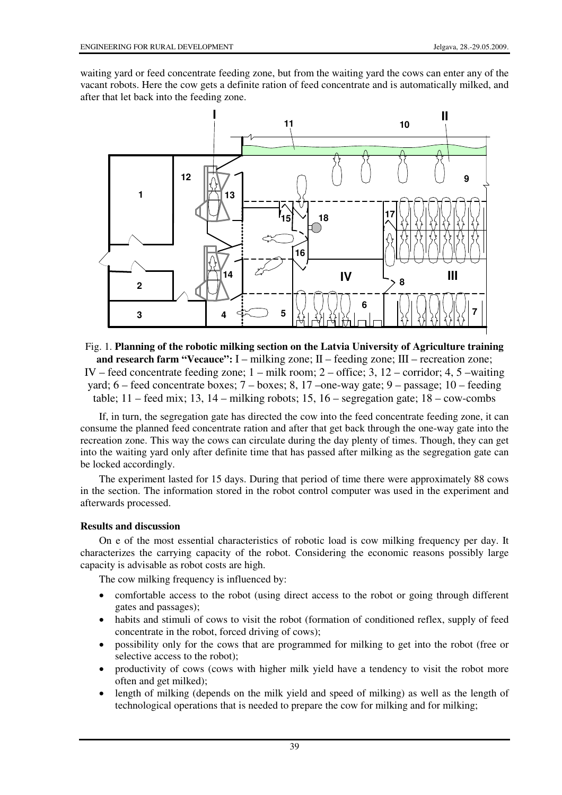waiting yard or feed concentrate feeding zone, but from the waiting yard the cows can enter any of the vacant robots. Here the cow gets a definite ration of feed concentrate and is automatically milked, and after that let back into the feeding zone.



Fig. 1. **Planning of the robotic milking section on the Latvia University of Agriculture training and research farm "Vecauce":** I – milking zone; II – feeding zone; III – recreation zone; IV – feed concentrate feeding zone; 1 – milk room; 2 – office; 3, 12 – corridor; 4, 5 –waiting yard; 6 – feed concentrate boxes; 7 – boxes; 8, 17 –one-way gate; 9 – passage; 10 – feeding table;  $11 - \text{feed mix}$ ;  $13$ ,  $14 - \text{milking robots}$ ;  $15$ ,  $16 - \text{segregation gate}$ ;  $18 - \text{cow-combs}$ 

If, in turn, the segregation gate has directed the cow into the feed concentrate feeding zone, it can consume the planned feed concentrate ration and after that get back through the one-way gate into the recreation zone. This way the cows can circulate during the day plenty of times. Though, they can get into the waiting yard only after definite time that has passed after milking as the segregation gate can be locked accordingly.

The experiment lasted for 15 days. During that period of time there were approximately 88 cows in the section. The information stored in the robot control computer was used in the experiment and afterwards processed.

### **Results and discussion**

On e of the most essential characteristics of robotic load is cow milking frequency per day. It characterizes the carrying capacity of the robot. Considering the economic reasons possibly large capacity is advisable as robot costs are high.

The cow milking frequency is influenced by:

- comfortable access to the robot (using direct access to the robot or going through different gates and passages);
- habits and stimuli of cows to visit the robot (formation of conditioned reflex, supply of feed concentrate in the robot, forced driving of cows);
- possibility only for the cows that are programmed for milking to get into the robot (free or selective access to the robot);
- productivity of cows (cows with higher milk yield have a tendency to visit the robot more often and get milked);
- length of milking (depends on the milk yield and speed of milking) as well as the length of technological operations that is needed to prepare the cow for milking and for milking;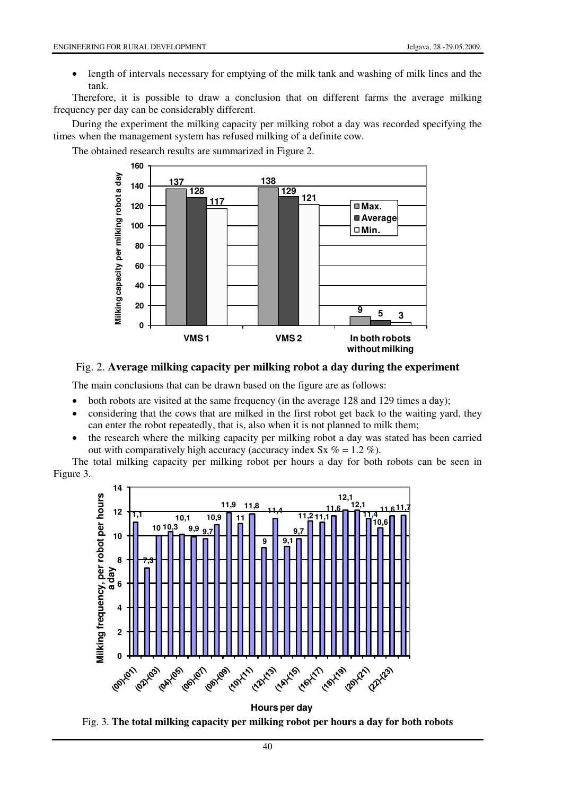• length of intervals necessary for emptying of the milk tank and washing of milk lines and the tank.

Therefore, it is possible to draw a conclusion that on different farms the average milking frequency per day can be considerably different.

During the experiment the milking capacity per milking robot a day was recorded specifying the times when the management system has refused milking of a definite cow.

The obtained research results are summarized in Figure 2.



# Fig. 2. **Average milking capacity per milking robot a day during the experiment**

The main conclusions that can be drawn based on the figure are as follows:

- both robots are visited at the same frequency (in the average 128 and 129 times a day);
- considering that the cows that are milked in the first robot get back to the waiting yard, they can enter the robot repeatedly, that is, also when it is not planned to milk them;
- the research where the milking capacity per milking robot a day was stated has been carried out with comparatively high accuracy (accuracy index  $S_x$  % = 1.2 %).

The total milking capacity per milking robot per hours a day for both robots can be seen in Figure 3.



**Hours per day** Fig. 3. **The total milking capacity per milking robot per hours a day for both robots**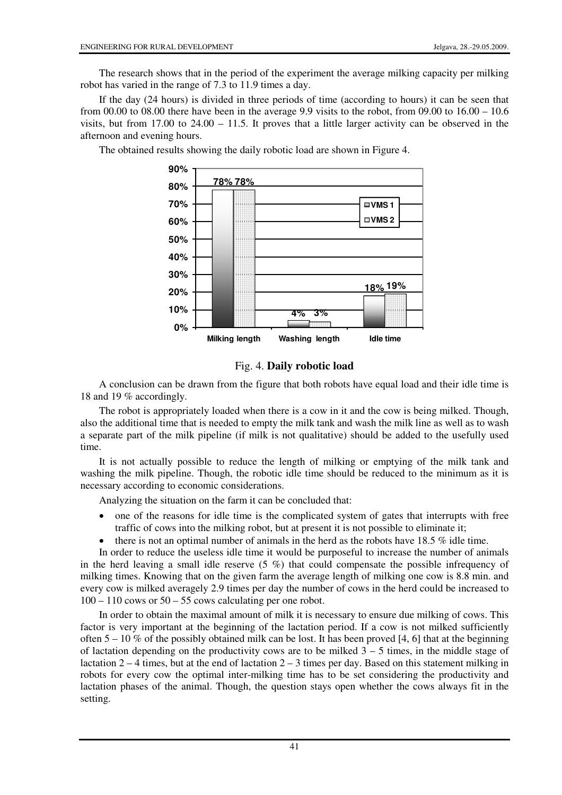The research shows that in the period of the experiment the average milking capacity per milking robot has varied in the range of 7.3 to 11.9 times a day.

If the day (24 hours) is divided in three periods of time (according to hours) it can be seen that from 00.00 to 08.00 there have been in the average 9.9 visits to the robot, from 09.00 to  $16.00 - 10.6$ visits, but from 17.00 to  $24.00 - 11.5$ . It proves that a little larger activity can be observed in the afternoon and evening hours.

> **78% 78% 4% 18% 19% 3% 0% 10% 20% 30% 40% 50% 60% 70% 80% 90% Milking length Washing length Idle time**  $UVMS 1$ **VMS 2**

The obtained results showing the daily robotic load are shown in Figure 4.

### Fig. 4. **Daily robotic load**

A conclusion can be drawn from the figure that both robots have equal load and their idle time is 18 and 19 % accordingly.

The robot is appropriately loaded when there is a cow in it and the cow is being milked. Though, also the additional time that is needed to empty the milk tank and wash the milk line as well as to wash a separate part of the milk pipeline (if milk is not qualitative) should be added to the usefully used time.

It is not actually possible to reduce the length of milking or emptying of the milk tank and washing the milk pipeline. Though, the robotic idle time should be reduced to the minimum as it is necessary according to economic considerations.

Analyzing the situation on the farm it can be concluded that:

- one of the reasons for idle time is the complicated system of gates that interrupts with free traffic of cows into the milking robot, but at present it is not possible to eliminate it;
- there is not an optimal number of animals in the herd as the robots have  $18.5\%$  idle time.

In order to reduce the useless idle time it would be purposeful to increase the number of animals in the herd leaving a small idle reserve  $(5 \%)$  that could compensate the possible infrequency of milking times. Knowing that on the given farm the average length of milking one cow is 8.8 min. and every cow is milked averagely 2.9 times per day the number of cows in the herd could be increased to  $100 - 110$  cows or  $50 - 55$  cows calculating per one robot.

In order to obtain the maximal amount of milk it is necessary to ensure due milking of cows. This factor is very important at the beginning of the lactation period. If a cow is not milked sufficiently often  $5 - 10\%$  of the possibly obtained milk can be lost. It has been proved [4, 6] that at the beginning of lactation depending on the productivity cows are to be milked  $3 - 5$  times, in the middle stage of lactation  $2 - 4$  times, but at the end of lactation  $2 - 3$  times per day. Based on this statement milking in robots for every cow the optimal inter-milking time has to be set considering the productivity and lactation phases of the animal. Though, the question stays open whether the cows always fit in the setting.